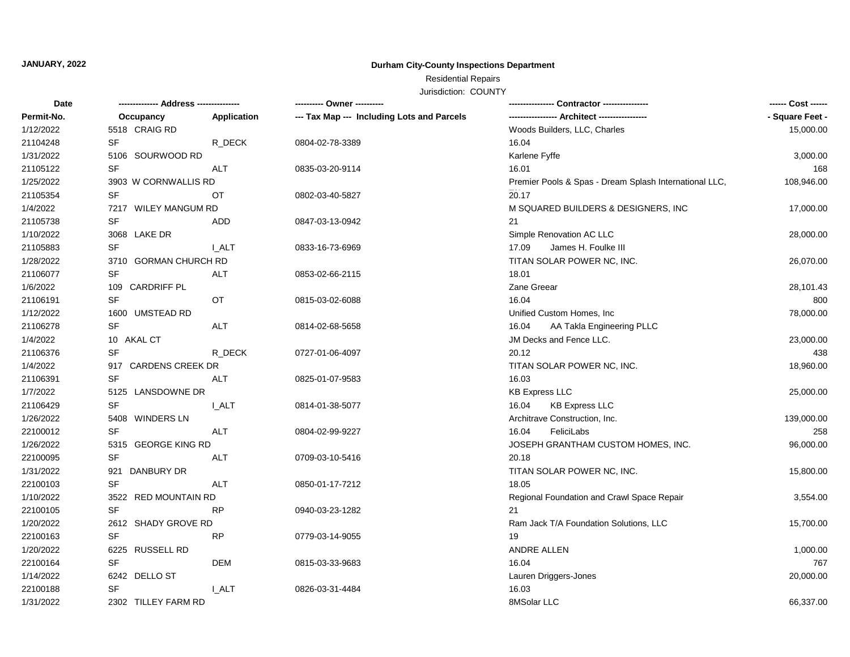## **JANUARY, 2022**

## **Durham City-County Inspections Department**

# Residential Repairs

Jurisdiction: COUNTY

| Date       |                       |             | ---------- Owner ----------                |                                                        | ------ Cost ------ |
|------------|-----------------------|-------------|--------------------------------------------|--------------------------------------------------------|--------------------|
| Permit-No. | Occupancy             | Application | --- Tax Map --- Including Lots and Parcels |                                                        | - Square Feet -    |
| 1/12/2022  | 5518 CRAIG RD         |             |                                            | Woods Builders, LLC, Charles                           | 15,000.00          |
| 21104248   | SF                    | R_DECK      | 0804-02-78-3389                            | 16.04                                                  |                    |
| 1/31/2022  | 5106 SOURWOOD RD      |             |                                            | Karlene Fyffe                                          | 3,000.00           |
| 21105122   | <b>SF</b>             | <b>ALT</b>  | 0835-03-20-9114                            | 16.01                                                  | 168                |
| 1/25/2022  | 3903 W CORNWALLIS RD  |             |                                            | Premier Pools & Spas - Dream Splash International LLC, | 108,946.00         |
| 21105354   | <b>SF</b>             | ОT          | 0802-03-40-5827                            | 20.17                                                  |                    |
| 1/4/2022   | 7217 WILEY MANGUM RD  |             |                                            | M SQUARED BUILDERS & DESIGNERS, INC                    | 17,000.00          |
| 21105738   | SF                    | ADD         | 0847-03-13-0942                            | 21                                                     |                    |
| 1/10/2022  | 3068 LAKE DR          |             |                                            | Simple Renovation AC LLC                               | 28,000.00          |
| 21105883   | SF                    | <b>LALT</b> | 0833-16-73-6969                            | 17.09<br>James H. Foulke III                           |                    |
| 1/28/2022  | 3710 GORMAN CHURCH RD |             |                                            | TITAN SOLAR POWER NC, INC.                             | 26,070.00          |
| 21106077   | <b>SF</b>             | <b>ALT</b>  | 0853-02-66-2115                            | 18.01                                                  |                    |
| 1/6/2022   | 109 CARDRIFF PL       |             |                                            | Zane Greear                                            | 28,101.43          |
| 21106191   | <b>SF</b>             | OT          | 0815-03-02-6088                            | 16.04                                                  | 800                |
| 1/12/2022  | 1600 UMSTEAD RD       |             |                                            | Unified Custom Homes, Inc.                             | 78,000.00          |
| 21106278   | <b>SF</b>             | <b>ALT</b>  | 0814-02-68-5658                            | AA Takla Engineering PLLC<br>16.04                     |                    |
| 1/4/2022   | 10 AKAL CT            |             |                                            | JM Decks and Fence LLC.                                | 23,000.00          |
| 21106376   | <b>SF</b>             | R DECK      | 0727-01-06-4097                            | 20.12                                                  | 438                |
| 1/4/2022   | 917 CARDENS CREEK DR  |             |                                            | TITAN SOLAR POWER NC, INC.                             | 18,960.00          |
| 21106391   | <b>SF</b>             | ALT         | 0825-01-07-9583                            | 16.03                                                  |                    |
| 1/7/2022   | 5125 LANSDOWNE DR     |             |                                            | <b>KB Express LLC</b>                                  | 25,000.00          |
| 21106429   | <b>SF</b>             | <b>LALT</b> | 0814-01-38-5077                            | <b>KB Express LLC</b><br>16.04                         |                    |
| 1/26/2022  | 5408 WINDERS LN       |             |                                            | Architrave Construction, Inc.                          | 139,000.00         |
| 22100012   | SF                    | ALT         | 0804-02-99-9227                            | 16.04<br>FeliciLabs                                    | 258                |
| 1/26/2022  | 5315 GEORGE KING RD   |             |                                            | JOSEPH GRANTHAM CUSTOM HOMES, INC.                     | 96,000.00          |
| 22100095   | <b>SF</b>             | <b>ALT</b>  | 0709-03-10-5416                            | 20.18                                                  |                    |
| 1/31/2022  | DANBURY DR<br>921     |             |                                            | TITAN SOLAR POWER NC, INC.                             | 15,800.00          |
| 22100103   | <b>SF</b>             | <b>ALT</b>  | 0850-01-17-7212                            | 18.05                                                  |                    |
| 1/10/2022  | 3522 RED MOUNTAIN RD  |             |                                            | Regional Foundation and Crawl Space Repair             | 3,554.00           |
| 22100105   | <b>SF</b>             | <b>RP</b>   | 0940-03-23-1282                            | 21                                                     |                    |
| 1/20/2022  | 2612 SHADY GROVE RD   |             |                                            | Ram Jack T/A Foundation Solutions, LLC                 | 15,700.00          |
| 22100163   | SF                    | RP          | 0779-03-14-9055                            | 19                                                     |                    |
| 1/20/2022  | 6225 RUSSELL RD       |             |                                            | ANDRE ALLEN                                            | 1,000.00           |
| 22100164   | SF                    | <b>DEM</b>  | 0815-03-33-9683                            | 16.04                                                  | 767                |
| 1/14/2022  | 6242 DELLO ST         |             |                                            | Lauren Driggers-Jones                                  | 20,000.00          |
| 22100188   | SF                    | <b>LALT</b> | 0826-03-31-4484                            | 16.03                                                  |                    |
| 1/31/2022  | 2302 TILLEY FARM RD   |             |                                            | 8MSolar LLC                                            | 66,337.00          |